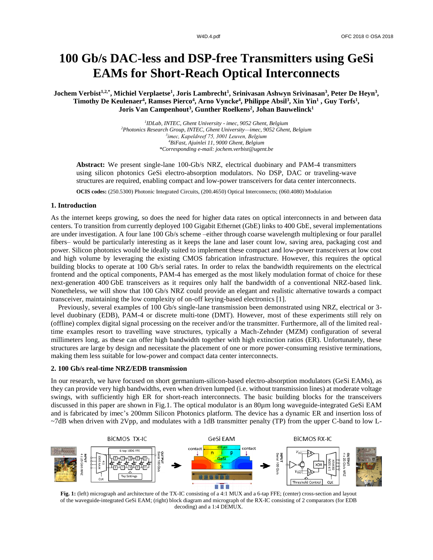# **100 Gb/s DAC-less and DSP-free Transmitters using GeSi EAMs for Short-Reach Optical Interconnects**

Jochem Verbist<sup>1,2,\*</sup>, Michiel Verplaetse<sup>1</sup>, Joris Lambrecht<sup>1</sup>, Srinivasan Ashwyn Srivinasan<sup>3</sup>, Peter De Heyn<sup>3</sup>, Timothy De Keulenaer<sup>4</sup>, Ramses Pierco<sup>4</sup>, Arno Vyncke<sup>4</sup>, Philippe Absil<sup>3</sup>, Xin Yin<sup>1</sup>, Guy Torfs<sup>1</sup>, **Joris Van Campenhout<sup>3</sup> , Gunther Roelkens<sup>2</sup> , Johan Bauwelinck<sup>1</sup>**

> *IDLab, INTEC, Ghent University - imec, 9052 Ghent, Belgium Photonics Research Group, INTEC, Ghent University—imec, 9052 Ghent, Belgium imec, Kapeldreef 75, 3001 Leuven, Belgium BiFast, Ajuinlei 11, 9000 Ghent, Belgium \*Corresponding e-mail: jochem.verbist@ugent.be*

**Abstract:** We present single-lane 100-Gb/s NRZ, electrical duobinary and PAM-4 transmitters using silicon photonics GeSi electro-absorption modulators. No DSP, DAC or traveling-wave structures are required, enabling compact and low-power transceivers for data center interconnects.

**OCIS codes:** (250.5300) Photonic Integrated Circuits, (200.4650) Optical Interconnects; (060.4080) Modulation

## **1. Introduction**

As the internet keeps growing, so does the need for higher data rates on optical interconnects in and between data centers. To transition from currently deployed 100 Gigabit Ethernet (GbE) links to 400 GbE, several implementations are under investigation. A four lane 100 Gb/s scheme –either through coarse wavelength multiplexing or four parallel fibers– would be particularly interesting as it keeps the lane and laser count low, saving area, packaging cost and power. Silicon photonics would be ideally suited to implement these compact and low-power transceivers at low cost and high volume by leveraging the existing CMOS fabrication infrastructure. However, this requires the optical building blocks to operate at 100 Gb/s serial rates. In order to relax the bandwidth requirements on the electrical frontend and the optical components, PAM-4 has emerged as the most likely modulation format of choice for these next-generation 400 GbE transceivers as it requires only half the bandwidth of a conventional NRZ-based link. Nonetheless, we will show that 100 Gb/s NRZ could provide an elegant and realistic alternative towards a compact transceiver, maintaining the low complexity of on-off keying-based electronics [1].

 Previously, several examples of 100 Gb/s single-lane transmission been demonstrated using NRZ, electrical or 3 level duobinary (EDB), PAM-4 or discrete multi-tone (DMT). However, most of these experiments still rely on (offline) complex digital signal processing on the receiver and/or the transmitter. Furthermore, all of the limited realtime examples resort to travelling wave structures, typically a Mach-Zehnder (MZM) configuration of several millimeters long, as these can offer high bandwidth together with high extinction ratios (ER). Unfortunately, these structures are large by design and necessitate the placement of one or more power-consuming resistive terminations, making them less suitable for low-power and compact data center interconnects.

### **2. 100 Gb/s real-time NRZ/EDB transmission**

In our research, we have focused on short germanium-silicon-based electro-absorption modulators (GeSi EAMs), as they can provide very high bandwidths, even when driven lumped (i.e. without transmission lines) at moderate voltage swings, with sufficiently high ER for short-reach interconnects. The basic building blocks for the transceivers discussed in this paper are shown in Fig.1. The optical modulator is an 80µm long waveguide-integrated GeSi EAM and is fabricated by imec's 200mm Silicon Photonics platform. The device has a dynamic ER and insertion loss of ~7dB when driven with 2Vpp, and modulates with a 1dB transmitter penalty (TP) from the upper C-band to low L-



**Fig. 1:** (left) micrograph and architecture of the TX-IC consisting of a 4:1 MUX and a 6-tap FFE; (center) cross-section and layout of the waveguide-integrated GeSi EAM; (right) block diagram and micrograph of the RX-IC consisting of 2 comparators (for EDB decoding) and a 1:4 DEMUX.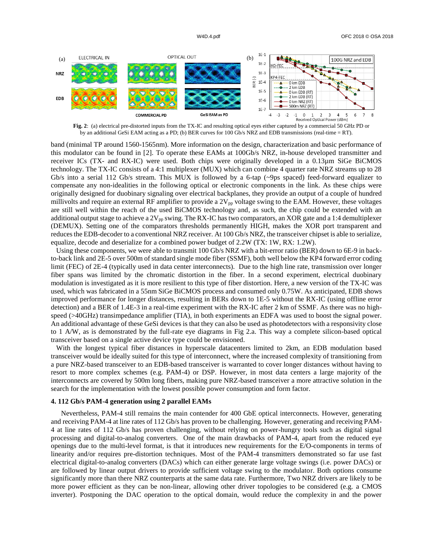

**Fig. 2**: (a) electrical pre-distorted inputs from the TX-IC and resulting optical eyes either captured by a commercial 50 GHz PD or by an additional GeSi EAM acting as a PD; (b) BER curves for 100 Gb/s NRZ and EDB transmissions (real-time = RT).

band (minimal TP around 1560-1565nm). More information on the design, characterization and basic performance of this modulator can be found in [2]. To operate these EAMs at 100Gb/s NRZ, in-house developed transmitter and receiver ICs (TX- and RX-IC) were used. Both chips were originally developed in a 0.13µm SiGe BiCMOS technology. The TX-IC consists of a 4:1 multiplexer (MUX) which can combine 4 quarter rate NRZ streams up to 28 Gb/s into a serial 112 Gb/s stream. This MUX is followed by a 6-tap (~9ps spaced) feed-forward equalizer to compensate any non-idealities in the following optical or electronic components in the link. As these chips were originally designed for duobinary signaling over electrical backplanes, they provide an output of a couple of hundred millivolts and require an external RF amplifier to provide a  $2V_{pp}$  voltage swing to the EAM. However, these voltages are still well within the reach of the used BiCMOS technology and, as such, the chip could be extended with an additional output stage to achieve a  $2V_{pp}$  swing. The RX-IC has two comparators, an XOR gate and a 1:4 demultiplexer (DEMUX). Setting one of the comparators thresholds permanently HIGH, makes the XOR port transparent and reduces the EDB-decoder to a conventional NRZ receiver. At 100 Gb/s NRZ, the transceiver chipset is able to serialize, equalize, decode and deserialize for a combined power budget of 2.2W (TX: 1W, RX: 1.2W).

 Using these components, we were able to transmit 100 Gb/s NRZ with a bit-error ratio (BER) down to 6E-9 in backto-back link and 2E-5 over 500m of standard single mode fiber (SSMF), both well below the KP4 forward error coding limit (FEC) of 2E-4 (typically used in data center interconnects). Due to the high line rate, transmission over longer fiber spans was limited by the chromatic distortion in the fiber. In a second experiment, electrical duobinary modulation is investigated as it is more resilient to this type of fiber distortion. Here, a new version of the TX-IC was used, which was fabricated in a 55nm SiGe BiCMOS process and consumed only 0.75W. As anticipated, EDB shows improved performance for longer distances, resulting in BERs down to 1E-5 without the RX-IC (using offline error detection) and a BER of 1.4E-3 in a real-time experiment with the RX-IC after 2 km of SSMF. As there was no highspeed ( $>40$ GHz) transimpedance amplifier (TIA), in both experiments an EDFA was used to boost the signal power. An additional advantage of these GeSi devices is that they can also be used as photodetectors with a responsivity close to 1 A/W, as is demonstrated by the full-rate eye diagrams in Fig 2.a. This way a complete silicon-based optical transceiver based on a single active device type could be envisioned.

 With the longest typical fiber distances in hyperscale datacenters limited to 2km, an EDB modulation based transceiver would be ideally suited for this type of interconnect, where the increased complexity of transitioning from a pure NRZ-based transceiver to an EDB-based transceiver is warranted to cover longer distances without having to resort to more complex schemes (e.g. PAM-4) or DSP. However, in most data centers a large majority of the interconnects are covered by 500m long fibers, making pure NRZ-based transceiver a more attractive solution in the search for the implementation with the lowest possible power consumption and form factor.

### **4. 112 Gb/s PAM-4 generation using 2 parallel EAMs**

Nevertheless, PAM-4 still remains the main contender for 400 GbE optical interconnects. However, generating and receiving PAM-4 at line rates of 112 Gb/s has proven to be challenging. However, generating and receiving PAM-4 at line rates of 112 Gb/s has proven challenging, without relying on power-hungry tools such as digital signal processing and digital-to-analog converters. One of the main drawbacks of PAM-4, apart from the reduced eye openings due to the multi-level format, is that it introduces new requirements for the E/O-components in terms of linearity and/or requires pre-distortion techniques. Most of the PAM-4 transmitters demonstrated so far use fast electrical digital-to-analog converters (DACs) which can either generate large voltage swings (i.e. power DACs) or are followed by linear output drivers to provide sufficient voltage swing to the modulator. Both options consume significantly more than there NRZ counterparts at the same data rate. Furthermore, Two NRZ drivers are likely to be more power efficient as they can be non-linear, allowing other driver topologies to be considered (e.g. a CMOS inverter). Postponing the DAC operation to the optical domain, would reduce the complexity in and the power